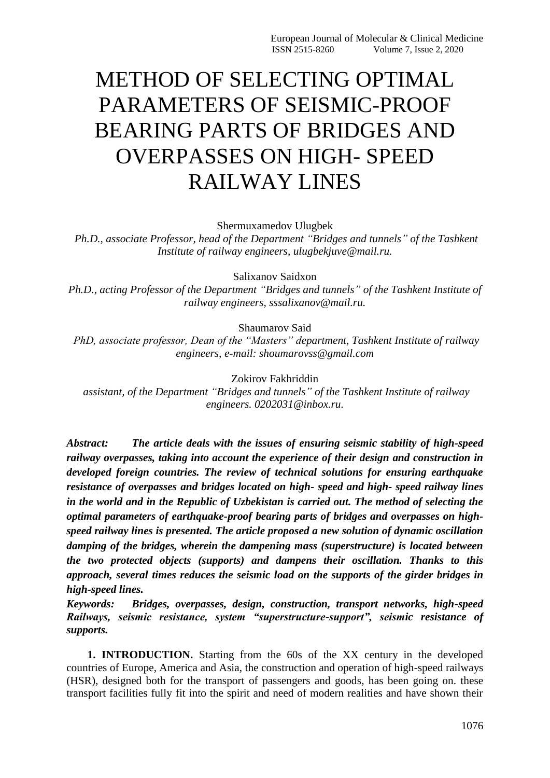## METHOD OF SELECTING OPTIMAL PARAMETERS OF SEISMIC-PROOF BEARING PARTS OF BRIDGES AND OVERPASSES ON HIGH- SPEED RAILWAY LINES

Shermuxamedov Ulugbek

*Ph.D., associate Professor, head of the Department "Bridges and tunnels" of the Tashkent Institute of railway engineers, ulugbekjuve@mail.ru.*

Salixanov Saidxon

*Ph.D., acting Professor of the Department "Bridges and tunnels" of the Tashkent Institute of railway engineers, sssalixanov@mail.ru.*

Shaumarov Said

*PhD, associate professor, Dean of the "Masters" department, Tashkent Institute of railway engineers, e-mail: shoumarovss@gmail.com*

Zokirov Fakhriddin

*assistant, of the Department "Bridges and tunnels" of the Tashkent Institute of railway engineers. 0202031@inbox.ru.*

*Abstract: The article deals with the issues of ensuring seismic stability of high-speed railway overpasses, taking into account the experience of their design and construction in developed foreign countries. The review of technical solutions for ensuring earthquake resistance of overpasses and bridges located on high- speed and high- speed railway lines in the world and in the Republic of Uzbekistan is carried out. The method of selecting the optimal parameters of earthquake-proof bearing parts of bridges and overpasses on highspeed railway lines is presented. The article proposed a new solution of dynamic oscillation damping of the bridges, wherein the dampening mass (superstructure) is located between the two protected objects (supports) and dampens their oscillation. Thanks to this approach, several times reduces the seismic load on the supports of the girder bridges in high-speed lines.*

*Keywords: Bridges, overpasses, design, construction, transport networks, high-speed Railways, seismic resistance, system "superstructure-support", seismic resistance of supports.*

**1. INTRODUCTION.** Starting from the 60s of the XX century in the developed countries of Europe, America and Asia, the construction and operation of high-speed railways (HSR), designed both for the transport of passengers and goods, has been going on. these transport facilities fully fit into the spirit and need of modern realities and have shown their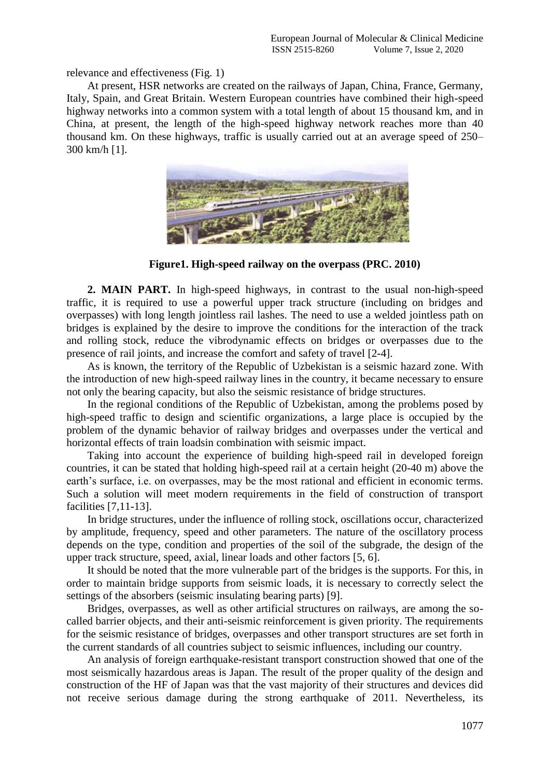relevance and effectiveness (Fig. 1)

At present, HSR networks are created on the railways of Japan, China, France, Germany, Italy, Spain, and Great Britain. Western European countries have combined their high-speed highway networks into a common system with a total length of about 15 thousand km, and in China, at present, the length of the high-speed highway network reaches more than 40 thousand km. On these highways, traffic is usually carried out at an average speed of 250– 300 km/h [1].



**Figure1. High-speed railway on the overpass (PRC. 2010)**

**2. MAIN PART.** In high-speed highways, in contrast to the usual non-high-speed traffic, it is required to use a powerful upper track structure (including on bridges and overpasses) with long length jointless rail lashes. The need to use a welded jointless path on bridges is explained by the desire to improve the conditions for the interaction of the track and rolling stock, reduce the vibrodynamic effects on bridges or overpasses due to the presence of rail joints, and increase the comfort and safety of travel [2-4].

As is known, the territory of the Republic of Uzbekistan is a seismic hazard zone. With the introduction of new high-speed railway lines in the country, it became necessary to ensure not only the bearing capacity, but also the seismic resistance of bridge structures.

In the regional conditions of the Republic of Uzbekistan, among the problems posed by high-speed traffic to design and scientific organizations, a large place is occupied by the problem of the dynamic behavior of railway bridges and overpasses under the vertical and horizontal effects of train loadsin combination with seismic impact.

Taking into account the experience of building high-speed rail in developed foreign countries, it can be stated that holding high-speed rail at a certain height (20-40 m) above the earth's surface, i.e. on overpasses, may be the most rational and efficient in economic terms. Such a solution will meet modern requirements in the field of construction of transport facilities [7,11-13].

In bridge structures, under the influence of rolling stock, oscillations occur, characterized by amplitude, frequency, speed and other parameters. The nature of the oscillatory process depends on the type, condition and properties of the soil of the subgrade, the design of the upper track structure, speed, axial, linear loads and other factors [5, 6].

It should be noted that the more vulnerable part of the bridges is the supports. For this, in order to maintain bridge supports from seismic loads, it is necessary to correctly select the settings of the absorbers (seismic insulating bearing parts) [9].

Bridges, overpasses, as well as other artificial structures on railways, are among the socalled barrier objects, and their anti-seismic reinforcement is given priority. The requirements for the seismic resistance of bridges, overpasses and other transport structures are set forth in the current standards of all countries subject to seismic influences, including our country.

An analysis of foreign earthquake-resistant transport construction showed that one of the most seismically hazardous areas is Japan. The result of the proper quality of the design and construction of the HF of Japan was that the vast majority of their structures and devices did not receive serious damage during the strong earthquake of 2011. Nevertheless, its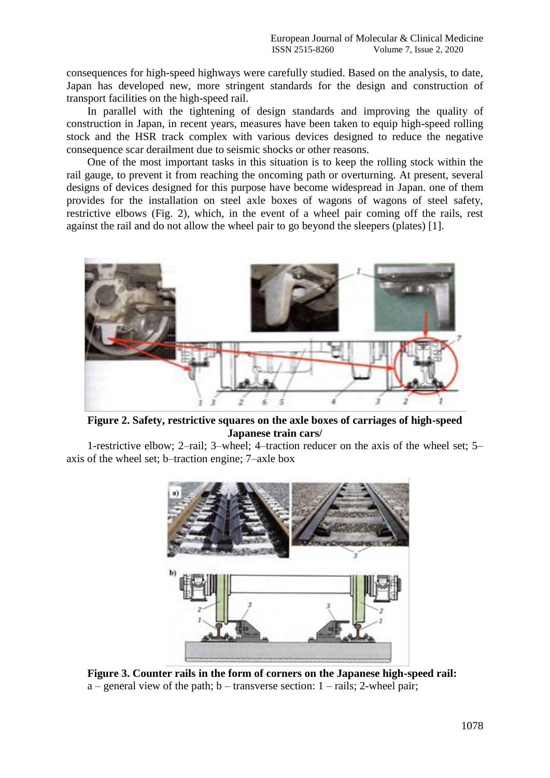consequences for high-speed highways were carefully studied. Based on the analysis, to date, Japan has developed new, more stringent standards for the design and construction of transport facilities on the high-speed rail.

In parallel with the tightening of design standards and improving the quality of construction in Japan, in recent years, measures have been taken to equip high-speed rolling stock and the HSR track complex with various devices designed to reduce the negative consequence scar derailment due to seismic shocks or other reasons.

One of the most important tasks in this situation is to keep the rolling stock within the rail gauge, to prevent it from reaching the oncoming path or overturning. At present, several designs of devices designed for this purpose have become widespread in Japan. one of them provides for the installation on steel axle boxes of wagons of wagons of steel safety, restrictive elbows (Fig. 2), which, in the event of a wheel pair coming off the rails, rest against the rail and do not allow the wheel pair to go beyond the sleepers (plates) [1].



**Figure 2. Safety, restrictive squares on the axle boxes of carriages of high-speed Japanese train cars/**

1-restrictive elbow; 2–rail; 3–wheel; 4–traction reducer on the axis of the wheel set; 5– axis of the wheel set; b–traction engine; 7–axle box



**Figure 3. Counter rails in the form of corners on the Japanese high-speed rail:**  $a$  – general view of the path; b – transverse section: 1 – rails: 2-wheel pair;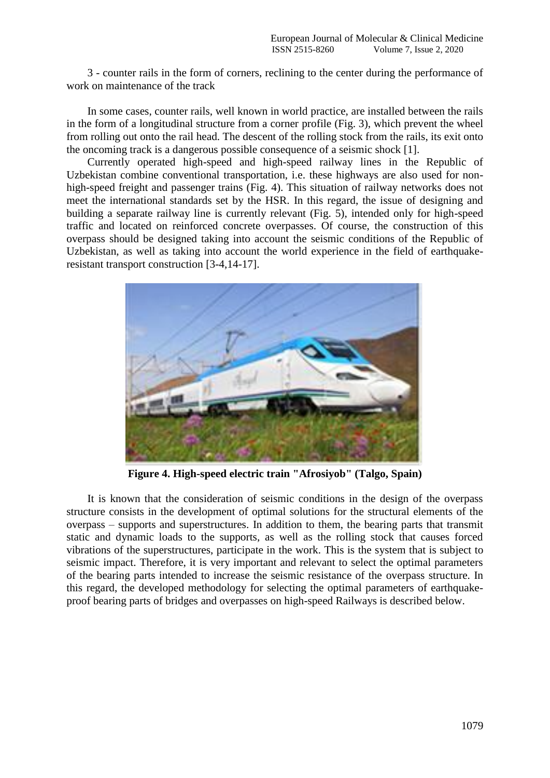3 - counter rails in the form of corners, reclining to the center during the performance of work on maintenance of the track

In some cases, counter rails, well known in world practice, are installed between the rails in the form of a longitudinal structure from a corner profile (Fig. 3), which prevent the wheel from rolling out onto the rail head. The descent of the rolling stock from the rails, its exit onto the oncoming track is a dangerous possible consequence of a seismic shock [1].

Currently operated high-speed and high-speed railway lines in the Republic of Uzbekistan combine conventional transportation, i.e. these highways are also used for nonhigh-speed freight and passenger trains (Fig. 4). This situation of railway networks does not meet the international standards set by the HSR. In this regard, the issue of designing and building a separate railway line is currently relevant (Fig. 5), intended only for high-speed traffic and located on reinforced concrete overpasses. Of course, the construction of this overpass should be designed taking into account the seismic conditions of the Republic of Uzbekistan, as well as taking into account the world experience in the field of earthquakeresistant transport construction [3-4,14-17].



**Figure 4. High-speed electric train "Afrosiyob" (Talgo, Spain)**

It is known that the consideration of seismic conditions in the design of the overpass structure consists in the development of optimal solutions for the structural elements of the overpass – supports and superstructures. In addition to them, the bearing parts that transmit static and dynamic loads to the supports, as well as the rolling stock that causes forced vibrations of the superstructures, participate in the work. This is the system that is subject to seismic impact. Therefore, it is very important and relevant to select the optimal parameters of the bearing parts intended to increase the seismic resistance of the overpass structure. In this regard, the developed methodology for selecting the optimal parameters of earthquakeproof bearing parts of bridges and overpasses on high-speed Railways is described below.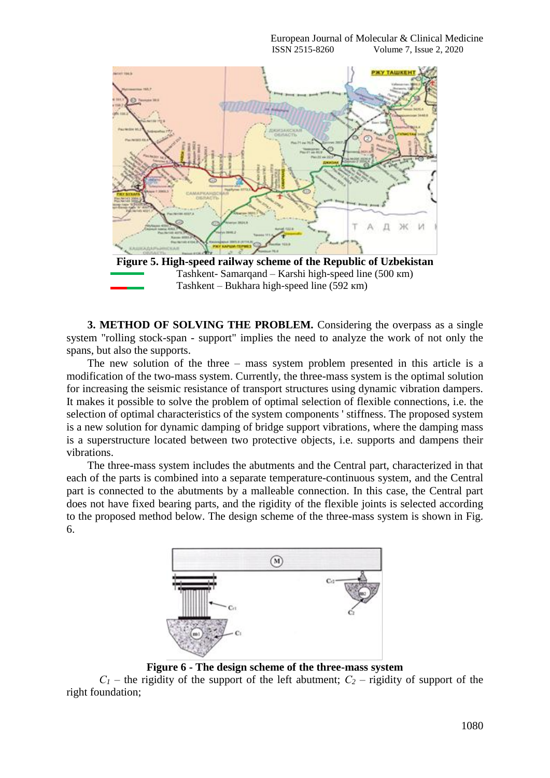

Tashkent- Samarqand – Karshi high-speed line (500 кm) Tashkent – Bukhara high-speed line (592 кm)

**3. METHOD OF SOLVING THE PROBLEM.** Considering the overpass as a single system "rolling stock-span - support" implies the need to analyze the work of not only the spans, but also the supports.

The new solution of the three – mass system problem presented in this article is a modification of the two-mass system. Currently, the three-mass system is the optimal solution for increasing the seismic resistance of transport structures using dynamic vibration dampers. It makes it possible to solve the problem of optimal selection of flexible connections, i.e. the selection of optimal characteristics of the system components ' stiffness. The proposed system is a new solution for dynamic damping of bridge support vibrations, where the damping mass is a superstructure located between two protective objects, i.e. supports and dampens their vibrations.

The three-mass system includes the abutments and the Central part, characterized in that each of the parts is combined into a separate temperature-continuous system, and the Central part is connected to the abutments by a malleable connection. In this case, the Central part does not have fixed bearing parts, and the rigidity of the flexible joints is selected according to the proposed method below. The design scheme of the three-mass system is shown in Fig. 6.



**Figure 6 - The design scheme of the three-mass system**

 $C_1$  – the rigidity of the support of the left abutment;  $C_2$  – rigidity of support of the right foundation;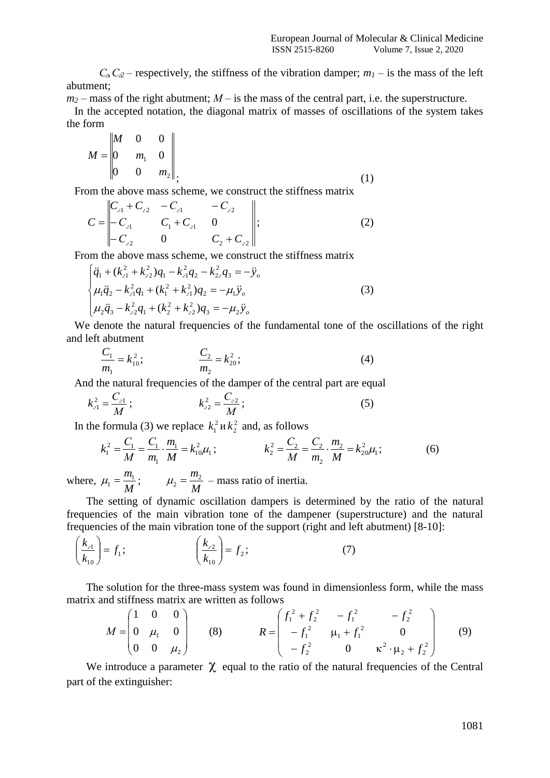$C_3$ ,  $C_2$  – respectively, the stiffness of the vibration damper; *m<sub>1</sub>* – is the mass of the left abutment;

 $m_2$  – mass of the right abutment;  $M$  – is the mass of the central part, i.e. the superstructure.

In the accepted notation, the diagonal matrix of masses of oscillations of the system takes the form

$$
M = \begin{bmatrix} M & 0 & 0 \\ 0 & m_1 & 0 \\ 0 & 0 & m_2 \end{bmatrix},
$$
 (1)

From the above mass scheme, we construct the stiffness matrix

$$
C = \begin{vmatrix} C_{21} + C_{22} & -C_{21} & -C_{22} \\ -C_{21} & C_1 + C_{21} & 0 \\ -C_{22} & 0 & C_2 + C_{22} \end{vmatrix};
$$
 (2)

From the above mass scheme, we construct the stiffness matrix

$$
\begin{cases}\n\ddot{q}_1 + (k_{c1}^2 + k_{c2}^2)q_1 - k_{c1}^2 q_2 - k_{2c}^2 q_3 = -\ddot{y}_o \\
\mu_1 \ddot{q}_2 - k_{c1}^2 q_1 + (k_1^2 + k_{c1}^2)q_2 = -\mu_1 \ddot{y}_o \\
\mu_2 \ddot{q}_3 - k_{c2}^2 q_1 + (k_2^2 + k_{c2}^2)q_3 = -\mu_2 \ddot{y}_o\n\end{cases}
$$
\n(3)

We denote the natural frequencies of the fundamental tone of the oscillations of the right and left abutment

$$
\frac{C_1}{m_1} = k_{10}^2; \qquad \frac{C_2}{m_2} = k_{20}^2; \qquad (4)
$$

And the natural frequencies of the damper of the central part are equal

$$
k_{e1}^2 = \frac{C_{e1}}{M}; \qquad k_{e2}^2 = \frac{C_{e2}}{M}; \qquad (5)
$$

In the formula (3) we replace  $k_1^2$  $k_1^2$  и  $k_2^2$  $k_2^2$  and, as follows

$$
k_1^2 = \frac{C_1}{M} = \frac{C_1}{m_1} \cdot \frac{m_1}{M} = k_{10}^2 \mu_1 ; \qquad k_2^2 = \frac{C_2}{M} = \frac{C_2}{m_2} \cdot \frac{m_2}{M} = k_{20}^2 \mu_1 ; \qquad (6)
$$

where,  $\mu_1 = \frac{m_1}{M}$ ;  $\mu_2 = \frac{m_2}{M}$  – mass ratio of inertia.

The setting of dynamic oscillation dampers is determined by the ratio of the natural frequencies of the main vibration tone of the dampener (superstructure) and the natural frequencies of the main vibration tone of the support (right and left abutment) [8-10]:

$$
\left(\frac{k_{21}}{k_{10}}\right) = f_1; \qquad \left(\frac{k_{22}}{k_{10}}\right) = f_2; \qquad (7)
$$

The solution for the three-mass system was found in dimensionless form, while the mass matrix and stiffness matrix are written as follows

$$
M = \begin{pmatrix} 1 & 0 & 0 \\ 0 & \mu_1 & 0 \\ 0 & 0 & \mu_2 \end{pmatrix} \qquad (8) \qquad R = \begin{pmatrix} f_1^2 + f_2^2 & -f_1^2 & -f_2^2 \\ -f_1^2 & \mu_1 + f_1^2 & 0 \\ -f_2^2 & 0 & \kappa^2 \cdot \mu_2 + f_2^2 \end{pmatrix} \qquad (9)
$$

We introduce a parameter  $\chi$  equal to the ratio of the natural frequencies of the Central part of the extinguisher: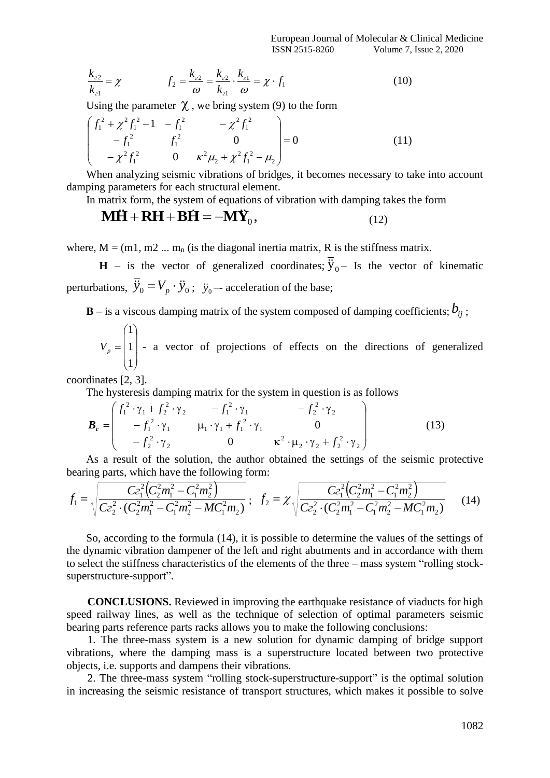European Journal of Molecular & Clinical Medicine ISSN 2515-8260 Volume 7, Issue 2, 2020

$$
\frac{k_{22}}{k_{21}} = \chi \qquad f_2 = \frac{k_{22}}{\omega} = \frac{k_{22}}{k_{21}} \cdot \frac{k_{21}}{\omega} = \chi \cdot f_1 \qquad (10)
$$

Using the parameter  $\chi$ , we bring system (9) to the form

$$
\begin{pmatrix} f_1^2 + \chi^2 f_1^2 - 1 & -f_1^2 & -\chi^2 f_1^2 \\ -f_1^2 & f_1^2 & 0 \\ -\chi^2 f_1^2 & 0 & \kappa^2 \mu_2 + \chi^2 f_1^2 - \mu_2 \end{pmatrix} = 0
$$
 (11)

When analyzing seismic vibrations of bridges, it becomes necessary to take into account damping parameters for each structural element.

In matrix form, the system of equations of vibration with damping takes the form

$$
\mathbf{M}\mathbf{H} + \mathbf{R}\mathbf{H} + \mathbf{B}\mathbf{H} = -\mathbf{M}\mathbf{\dot{Y}}_0, \tag{12}
$$

where,  $M = (m1, m2, ..., m_n)$  (is the diagonal inertia matrix, R is the stiffness matrix.

**H** – is the vector of generalized coordinates;  $\overline{\ddot{y}}_{0}$  – Is the vector of kinematic perturbations,  $\dddot{y}_0 = V_p \cdot \ddot{y}_0$ ;  $\ddot{y}_0$  -- acceleration of the base;

 $\mathbf{B}-\mathrm{is}$  a viscous damping matrix of the system composed of damping coefficients;  $b_{ij}$  ;

$$
V_p = \begin{pmatrix} 1 \\ 1 \\ 1 \end{pmatrix}
$$
 a vector of projections of effects on the directions of generalized

coordinates [2, 3].

The hysteresis damping matrix for the system in question is as follows

$$
\boldsymbol{B}_{c} = \begin{pmatrix} f_{1}^{2} \cdot \gamma_{1} + f_{2}^{2} \cdot \gamma_{2} & -f_{1}^{2} \cdot \gamma_{1} & -f_{2}^{2} \cdot \gamma_{2} \\ -f_{1}^{2} \cdot \gamma_{1} & \mu_{1} \cdot \gamma_{1} + f_{1}^{2} \cdot \gamma_{1} & 0 \\ -f_{2}^{2} \cdot \gamma_{2} & 0 & \kappa^{2} \cdot \mu_{2} \cdot \gamma_{2} + f_{2}^{2} \cdot \gamma_{2} \end{pmatrix}
$$
(13)

As a result of the solution, the author obtained the settings of the seismic protective bearing parts, which have the following form:

$$
f_1 = \sqrt{\frac{C_2^2 (C_2^2 m_1^2 - C_1^2 m_2^2)}{C_2^2 \cdot (C_2^2 m_1^2 - C_1^2 m_2^2 - MC_1^2 m_2)}}; \quad f_2 = \chi \sqrt{\frac{C_2^2 (C_2^2 m_1^2 - C_1^2 m_2^2)}{C_2^2 \cdot (C_2^2 m_1^2 - C_1^2 m_2^2 - MC_1^2 m_2)}} \quad (14)
$$

So, according to the formula (14), it is possible to determine the values of the settings of the dynamic vibration dampener of the left and right abutments and in accordance with them to select the stiffness characteristics of the elements of the three – mass system "rolling stocksuperstructure-support".

**CONCLUSIONS.** Reviewed in improving the earthquake resistance of viaducts for high speed railway lines, as well as the technique of selection of optimal parameters seismic bearing parts reference parts racks allows you to make the following conclusions:

1. The three-mass system is a new solution for dynamic damping of bridge support vibrations, where the damping mass is a superstructure located between two protective objects, i.e. supports and dampens their vibrations.

2. The three-mass system "rolling stock-superstructure-support" is the optimal solution in increasing the seismic resistance of transport structures, which makes it possible to solve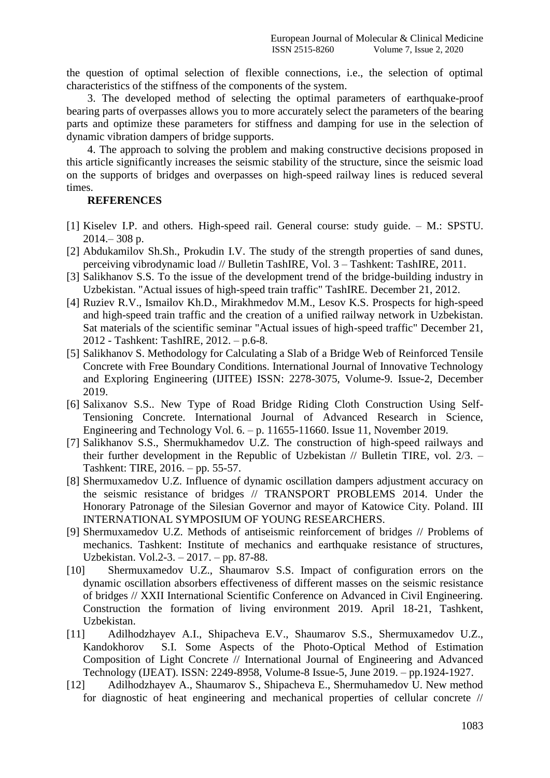the question of optimal selection of flexible connections, i.e., the selection of optimal characteristics of the stiffness of the components of the system.

3. The developed method of selecting the optimal parameters of earthquake-proof bearing parts of overpasses allows you to more accurately select the parameters of the bearing parts and optimize these parameters for stiffness and damping for use in the selection of dynamic vibration dampers of bridge supports.

4. The approach to solving the problem and making constructive decisions proposed in this article significantly increases the seismic stability of the structure, since the seismic load on the supports of bridges and overpasses on high-speed railway lines is reduced several times.

## **REFERENCES**

- [1] Kiselev I.P. and others. High-speed rail. General course: study guide. M.: SPSTU.  $2014 - 308$  p.
- [2] Abdukamilov Sh.Sh., Prokudin I.V. The study of the strength properties of sand dunes, perceiving vibrodynamic load // Bulletin TashIRE, Vol. 3 – Tashkent: TashIRE, 2011.
- [3] Salikhanov S.S. To the issue of the development trend of the bridge-building industry in Uzbekistan. "Actual issues of high-speed train traffic" TashIRE. December 21, 2012.
- [4] Ruziev R.V., Ismailov Kh.D., Mirakhmedov M.M., Lesov K.S. Prospects for high-speed and high-speed train traffic and the creation of a unified railway network in Uzbekistan. Sat materials of the scientific seminar "Actual issues of high-speed traffic" December 21, 2012 - Tashkent: TashIRE, 2012. – p.6-8.
- [5] Salikhanov S. Methodology for Calculating a Slab of a Bridge Web of Reinforced Tensile Concrete with Free Boundary Conditions. International Journal of Innovative Technology and Exploring Engineering (IJITEE) ISSN: 2278-3075, Volume-9. Issue-2, December 2019.
- [6] Salixanov S.S.. New Type of Road Bridge Riding Cloth Construction Using Self-Tensioning Concrete. International Journal of Advanced Research in Science, Engineering and Technology Vol. 6. – p. 11655-11660. Issue 11, November 2019.
- [7] Salikhanov S.S., Shermukhamedov U.Z. The construction of high-speed railways and their further development in the Republic of Uzbekistan // Bulletin TIRE, vol. 2/3. – Tashkent: TIRE, 2016. – pp. 55-57.
- [8] Shermuxamedov U.Z. Influence of dynamic oscillation dampers adjustment accuracy on the seismic resistance of bridges // TRANSPORT PROBLEMS 2014. Under the Honorary Patronage of the Silesian Governor and mayor of Katowice City. Poland. III INTERNATIONAL SYMPOSIUM OF YOUNG RESEARCHERS.
- [9] Shermuxamedov U.Z. Methods of antiseismic reinforcement of bridges // Problems of mechanics. Tashkent: Institute of mechanics and earthquake resistance of structures, Uzbekistan. Vol.2-3. – 2017. – pp. 87-88.
- [10] Shermuxamedov U.Z., Shaumarov S.S. Impact of configuration errors on the dynamic oscillation absorbers effectiveness of different masses on the seismic resistance of bridges // XXII International Scientific Conference on Advanced in Civil Engineering. Construction the formation of living environment 2019. April 18-21, Tashkent, Uzbekistan.
- [11] Adilhodzhayev A.I., Shipacheva E.V., Shaumarov S.S., Shermuxamedov U.Z., Kandokhorov S.I. Some Aspects of the Photo-Optical Method of Estimation Composition of Light Concrete // International Journal of Engineering and Advanced Technology (IJEAT). ISSN: 2249-8958, Volume-8 Issue-5, June 2019. – pp.1924-1927.
- [12] Adilhodzhayev A., Shaumarov S., Shipacheva E., Shermuhamedov U. New method for diagnostic of heat engineering and mechanical properties of cellular concrete //